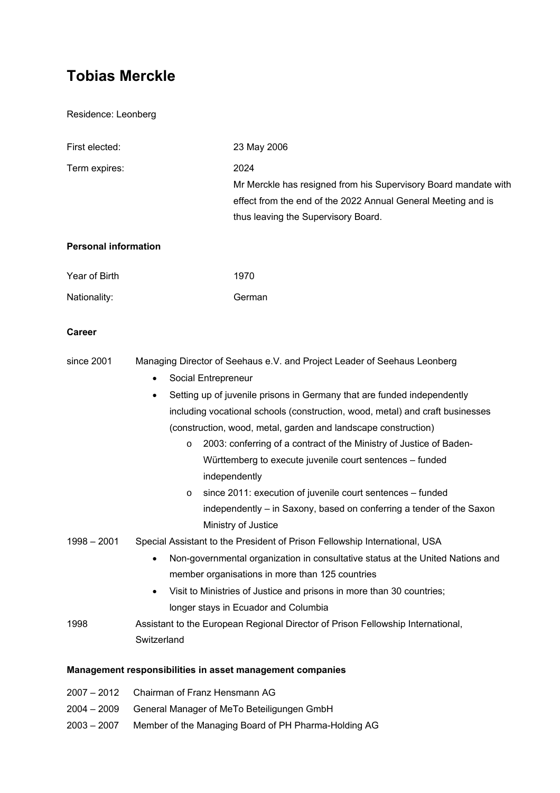# **Tobias Merckle**

Residence: Leonberg

| First elected:              | 23 May 2006                                                                                                                                                                                                                                                                                                                                                                                                                                                                                                                                                                                                                                                                              |
|-----------------------------|------------------------------------------------------------------------------------------------------------------------------------------------------------------------------------------------------------------------------------------------------------------------------------------------------------------------------------------------------------------------------------------------------------------------------------------------------------------------------------------------------------------------------------------------------------------------------------------------------------------------------------------------------------------------------------------|
| Term expires:               | 2024<br>Mr Merckle has resigned from his Supervisory Board mandate with<br>effect from the end of the 2022 Annual General Meeting and is<br>thus leaving the Supervisory Board.                                                                                                                                                                                                                                                                                                                                                                                                                                                                                                          |
| <b>Personal information</b> |                                                                                                                                                                                                                                                                                                                                                                                                                                                                                                                                                                                                                                                                                          |
| Year of Birth               | 1970                                                                                                                                                                                                                                                                                                                                                                                                                                                                                                                                                                                                                                                                                     |
| Nationality:                | German                                                                                                                                                                                                                                                                                                                                                                                                                                                                                                                                                                                                                                                                                   |
| Career                      |                                                                                                                                                                                                                                                                                                                                                                                                                                                                                                                                                                                                                                                                                          |
| since 2001                  | Managing Director of Seehaus e.V. and Project Leader of Seehaus Leonberg<br>Social Entrepreneur<br>$\bullet$<br>Setting up of juvenile prisons in Germany that are funded independently<br>$\bullet$<br>including vocational schools (construction, wood, metal) and craft businesses<br>(construction, wood, metal, garden and landscape construction)<br>2003: conferring of a contract of the Ministry of Justice of Baden-<br>$\circ$<br>Württemberg to execute juvenile court sentences - funded<br>independently<br>since 2011: execution of juvenile court sentences - funded<br>O<br>independently - in Saxony, based on conferring a tender of the Saxon<br>Ministry of Justice |
| $1998 - 2001$               | Special Assistant to the President of Prison Fellowship International, USA<br>Non-governmental organization in consultative status at the United Nations and<br>member organisations in more than 125 countries<br>Visit to Ministries of Justice and prisons in more than 30 countries;<br>longer stays in Ecuador and Columbia                                                                                                                                                                                                                                                                                                                                                         |
| 1998                        | Assistant to the European Regional Director of Prison Fellowship International,<br>Switzerland                                                                                                                                                                                                                                                                                                                                                                                                                                                                                                                                                                                           |
|                             | Management responsibilities in asset management companies                                                                                                                                                                                                                                                                                                                                                                                                                                                                                                                                                                                                                                |
| $2007 - 2012$               | Chairman of Franz Hensmann AG                                                                                                                                                                                                                                                                                                                                                                                                                                                                                                                                                                                                                                                            |

- 2004 2009 General Manager of MeTo Beteiligungen GmbH
- 2003 2007 Member of the Managing Board of PH Pharma-Holding AG